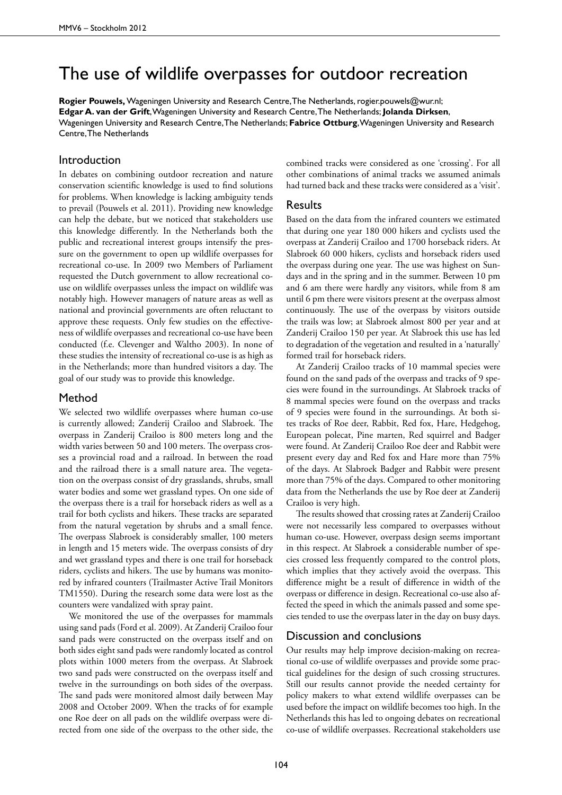# The use of wildlife overpasses for outdoor recreation

**Rogier Pouwels,** Wageningen University and Research Centre, The Netherlands, rogier.pouwels@wur.nl; **Edgar A. van der Grift**, Wageningen University and Research Centre, The Netherlands; **Jolanda Dirksen**, Wageningen University and Research Centre, The Netherlands; **Fabrice Ottburg**, Wageningen University and Research Centre, The Netherlands

# Introduction

In debates on combining outdoor recreation and nature conservation scientific knowledge is used to find solutions for problems. When knowledge is lacking ambiguity tends to prevail (Pouwels et al. 2011). Providing new knowledge can help the debate, but we noticed that stakeholders use this knowledge differently. In the Netherlands both the public and recreational interest groups intensify the pressure on the government to open up wildlife overpasses for recreational co-use. In 2009 two Members of Parliament requested the Dutch government to allow recreational couse on wildlife overpasses unless the impact on wildlife was notably high. However managers of nature areas as well as national and provincial governments are often reluctant to approve these requests. Only few studies on the effectiveness of wildlife overpasses and recreational co-use have been conducted (f.e. Clevenger and Waltho 2003). In none of these studies the intensity of recreational co-use is as high as in the Netherlands; more than hundred visitors a day. The goal of our study was to provide this knowledge.

### Method

We selected two wildlife overpasses where human co-use is currently allowed; Zanderij Crailoo and Slabroek. The overpass in Zanderij Crailoo is 800 meters long and the width varies between 50 and 100 meters. The overpass crosses a provincial road and a railroad. In between the road and the railroad there is a small nature area. The vegetation on the overpass consist of dry grasslands, shrubs, small water bodies and some wet grassland types. On one side of the overpass there is a trail for horseback riders as well as a trail for both cyclists and hikers. These tracks are separated from the natural vegetation by shrubs and a small fence. The overpass Slabroek is considerably smaller, 100 meters in length and 15 meters wide. The overpass consists of dry and wet grassland types and there is one trail for horseback riders, cyclists and hikers. The use by humans was monitored by infrared counters (Trailmaster Active Trail Monitors TM1550). During the research some data were lost as the counters were vandalized with spray paint.

We monitored the use of the overpasses for mammals using sand pads (Ford et al. 2009). At Zanderij Crailoo four sand pads were constructed on the overpass itself and on both sides eight sand pads were randomly located as control plots within 1000 meters from the overpass. At Slabroek two sand pads were constructed on the overpass itself and twelve in the surroundings on both sides of the overpass. The sand pads were monitored almost daily between May 2008 and October 2009. When the tracks of for example one Roe deer on all pads on the wildlife overpass were directed from one side of the overpass to the other side, the

combined tracks were considered as one 'crossing'. For all other combinations of animal tracks we assumed animals had turned back and these tracks were considered as a 'visit'.

# Results

Based on the data from the infrared counters we estimated that during one year 180 000 hikers and cyclists used the overpass at Zanderij Crailoo and 1700 horseback riders. At Slabroek 60 000 hikers, cyclists and horseback riders used the overpass during one year. The use was highest on Sundays and in the spring and in the summer. Between 10 pm and 6 am there were hardly any visitors, while from 8 am until 6 pm there were visitors present at the overpass almost continuously. The use of the overpass by visitors outside the trails was low; at Slabroek almost 800 per year and at Zanderij Crailoo 150 per year. At Slabroek this use has led to degradation of the vegetation and resulted in a 'naturally' formed trail for horseback riders.

At Zanderij Crailoo tracks of 10 mammal species were found on the sand pads of the overpass and tracks of 9 species were found in the surroundings. At Slabroek tracks of 8 mammal species were found on the overpass and tracks of 9 species were found in the surroundings. At both sites tracks of Roe deer, Rabbit, Red fox, Hare, Hedgehog, European polecat, Pine marten, Red squirrel and Badger were found. At Zanderij Crailoo Roe deer and Rabbit were present every day and Red fox and Hare more than 75% of the days. At Slabroek Badger and Rabbit were present more than 75% of the days. Compared to other monitoring data from the Netherlands the use by Roe deer at Zanderij Crailoo is very high.

The results showed that crossing rates at Zanderij Crailoo were not necessarily less compared to overpasses without human co-use. However, overpass design seems important in this respect. At Slabroek a considerable number of species crossed less frequently compared to the control plots, which implies that they actively avoid the overpass. This difference might be a result of difference in width of the overpass or difference in design. Recreational co-use also affected the speed in which the animals passed and some species tended to use the overpass later in the day on busy days.

# Discussion and conclusions

Our results may help improve decision-making on recreational co-use of wildlife overpasses and provide some practical guidelines for the design of such crossing structures. Still our results cannot provide the needed certainty for policy makers to what extend wildlife overpasses can be used before the impact on wildlife becomes too high. In the Netherlands this has led to ongoing debates on recreational co-use of wildlife overpasses. Recreational stakeholders use